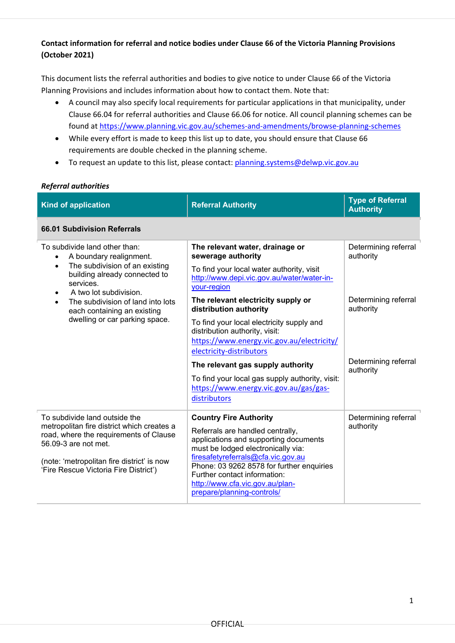### **Contact information for referral and notice bodies under Clause 66 of the Victoria Planning Provisions (October 2021)**

This document lists the referral authorities and bodies to give notice to under Clause 66 of the Victoria Planning Provisions and includes information about how to contact them. Note that:

- A council may also specify local requirements for particular applications in that municipality, under Clause 66.04 for referral authorities and Clause 66.06 for notice. All council planning schemes can be found at <https://www.planning.vic.gov.au/schemes-and-amendments/browse-planning-schemes>
- While every effort is made to keep this list up to date, you should ensure that Clause 66 requirements are double checked in the planning scheme.
- To request an update to this list, please contact: [planning.systems@delwp.vic.gov.au](mailto:planning.systems@delwp.vic.gov.au)

### *Referral authorities*

| <b>Kind of application</b>                                                                                                                                                                                                                                                                         | <b>Referral Authority</b>                                                                                                                                                                                                                                                                                                            | <b>Type of Referral</b><br><b>Authority</b> |  |
|----------------------------------------------------------------------------------------------------------------------------------------------------------------------------------------------------------------------------------------------------------------------------------------------------|--------------------------------------------------------------------------------------------------------------------------------------------------------------------------------------------------------------------------------------------------------------------------------------------------------------------------------------|---------------------------------------------|--|
| 66.01 Subdivision Referrals                                                                                                                                                                                                                                                                        |                                                                                                                                                                                                                                                                                                                                      |                                             |  |
| To subdivide land other than:<br>A boundary realignment.<br>The subdivision of an existing<br>$\bullet$<br>building already connected to<br>services.<br>A two lot subdivision.<br>The subdivision of land into lots<br>$\bullet$<br>each containing an existing<br>dwelling or car parking space. | The relevant water, drainage or<br>sewerage authority<br>To find your local water authority, visit<br>http://www.depi.vic.gov.au/water/water-in-<br>your-region                                                                                                                                                                      | Determining referral<br>authority           |  |
|                                                                                                                                                                                                                                                                                                    | The relevant electricity supply or<br>distribution authority<br>To find your local electricity supply and<br>distribution authority, visit:<br>https://www.energy.vic.gov.au/electricity/<br>electricity-distributors                                                                                                                | Determining referral<br>authority           |  |
|                                                                                                                                                                                                                                                                                                    | The relevant gas supply authority<br>To find your local gas supply authority, visit:<br>https://www.energy.vic.gov.au/gas/gas-<br>distributors                                                                                                                                                                                       | Determining referral<br>authority           |  |
| To subdivide land outside the<br>metropolitan fire district which creates a<br>road, where the requirements of Clause<br>56.09-3 are not met.<br>(note: 'metropolitan fire district' is now<br>'Fire Rescue Victoria Fire District')                                                               | <b>Country Fire Authority</b><br>Referrals are handled centrally,<br>applications and supporting documents<br>must be lodged electronically via:<br>firesafetyreferrals@cfa.vic.gov.au<br>Phone: 03 9262 8578 for further enquiries<br>Further contact information:<br>http://www.cfa.vic.gov.au/plan-<br>prepare/planning-controls/ | Determining referral<br>authority           |  |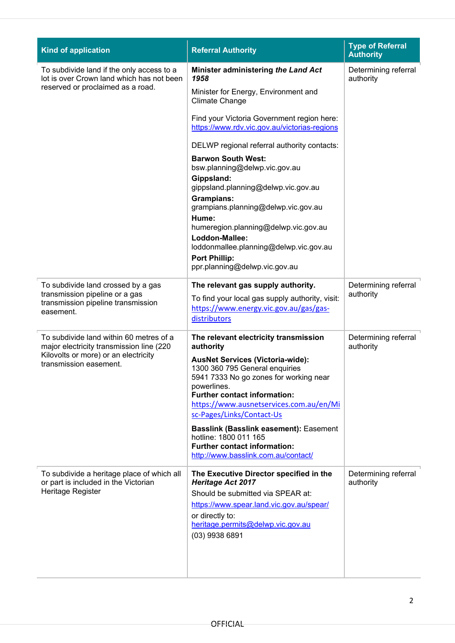| <b>Kind of application</b>                                                                                                                            | <b>Referral Authority</b>                                                                                                                                                                                                                                                                                                                                                                                                                                       | <b>Type of Referral</b><br><b>Authority</b> |
|-------------------------------------------------------------------------------------------------------------------------------------------------------|-----------------------------------------------------------------------------------------------------------------------------------------------------------------------------------------------------------------------------------------------------------------------------------------------------------------------------------------------------------------------------------------------------------------------------------------------------------------|---------------------------------------------|
| To subdivide land if the only access to a<br>lot is over Crown land which has not been<br>reserved or proclaimed as a road.                           | Minister administering the Land Act<br>1958<br>Minister for Energy, Environment and<br><b>Climate Change</b>                                                                                                                                                                                                                                                                                                                                                    | Determining referral<br>authority           |
|                                                                                                                                                       | Find your Victoria Government region here:<br>https://www.rdv.vic.gov.au/victorias-regions                                                                                                                                                                                                                                                                                                                                                                      |                                             |
|                                                                                                                                                       | DELWP regional referral authority contacts:                                                                                                                                                                                                                                                                                                                                                                                                                     |                                             |
|                                                                                                                                                       | <b>Barwon South West:</b><br>bsw.planning@delwp.vic.gov.au                                                                                                                                                                                                                                                                                                                                                                                                      |                                             |
|                                                                                                                                                       | Gippsland:<br>gippsland.planning@delwp.vic.gov.au<br><b>Grampians:</b><br>grampians.planning@delwp.vic.gov.au                                                                                                                                                                                                                                                                                                                                                   |                                             |
|                                                                                                                                                       | Hume:<br>humeregion.planning@delwp.vic.gov.au<br>Loddon-Mallee:<br>loddonmallee.planning@delwp.vic.gov.au                                                                                                                                                                                                                                                                                                                                                       |                                             |
|                                                                                                                                                       | <b>Port Phillip:</b><br>ppr.planning@delwp.vic.gov.au                                                                                                                                                                                                                                                                                                                                                                                                           |                                             |
| To subdivide land crossed by a gas<br>transmission pipeline or a gas<br>transmission pipeline transmission<br>easement.                               | The relevant gas supply authority.<br>To find your local gas supply authority, visit:<br>https://www.energy.vic.gov.au/gas/gas-<br>distributors                                                                                                                                                                                                                                                                                                                 | Determining referral<br>authority           |
| To subdivide land within 60 metres of a<br>major electricity transmission line (220<br>Kilovolts or more) or an electricity<br>transmission easement. | The relevant electricity transmission<br>authority<br><b>AusNet Services (Victoria-wide):</b><br>1300 360 795 General enquiries<br>5941 7333 No go zones for working near<br>powerlines.<br><b>Further contact information:</b><br>https://www.ausnetservices.com.au/en/Mi<br>sc-Pages/Links/Contact-Us<br><b>Basslink (Basslink easement): Easement</b><br>hotline: 1800 011 165<br><b>Further contact information:</b><br>http://www.basslink.com.au/contact/ | Determining referral<br>authority           |
| To subdivide a heritage place of which all<br>or part is included in the Victorian<br>Heritage Register                                               | The Executive Director specified in the<br><b>Heritage Act 2017</b><br>Should be submitted via SPEAR at:<br>https://www.spear.land.vic.gov.au/spear/<br>or directly to:<br>heritage.permits@delwp.vic.gov.au<br>$(03)$ 9938 6891                                                                                                                                                                                                                                | Determining referral<br>authority           |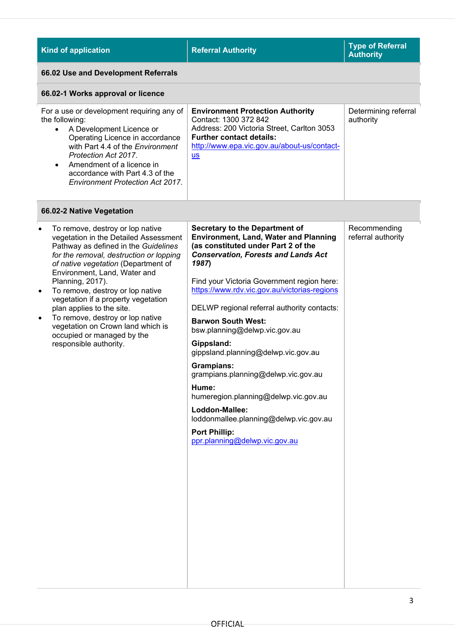| <b>Referral Authority</b>                                                                                                                                                                                                                                                                                                                                                                                                                                                                                                                                                                                                                                                             | <b>Type of Referral</b><br><b>Authority</b> |
|---------------------------------------------------------------------------------------------------------------------------------------------------------------------------------------------------------------------------------------------------------------------------------------------------------------------------------------------------------------------------------------------------------------------------------------------------------------------------------------------------------------------------------------------------------------------------------------------------------------------------------------------------------------------------------------|---------------------------------------------|
|                                                                                                                                                                                                                                                                                                                                                                                                                                                                                                                                                                                                                                                                                       |                                             |
|                                                                                                                                                                                                                                                                                                                                                                                                                                                                                                                                                                                                                                                                                       |                                             |
| <b>Environment Protection Authority</b><br>Contact: 1300 372 842<br>Address: 200 Victoria Street, Carlton 3053<br><b>Further contact details:</b><br>http://www.epa.vic.gov.au/about-us/contact-<br>$us$                                                                                                                                                                                                                                                                                                                                                                                                                                                                              | Determining referral<br>authority           |
|                                                                                                                                                                                                                                                                                                                                                                                                                                                                                                                                                                                                                                                                                       |                                             |
| <b>Secretary to the Department of</b><br><b>Environment, Land, Water and Planning</b><br>(as constituted under Part 2 of the<br><b>Conservation, Forests and Lands Act</b><br>1987)<br>Find your Victoria Government region here:<br>https://www.rdv.vic.gov.au/victorias-regions<br>DELWP regional referral authority contacts:<br><b>Barwon South West:</b><br>bsw.planning@delwp.vic.gov.au<br>Gippsland:<br>gippsland.planning@delwp.vic.gov.au<br><b>Grampians:</b><br>grampians.planning@delwp.vic.gov.au<br>Hume:<br>humeregion.planning@delwp.vic.gov.au<br>Loddon-Mallee:<br>loddonmallee.planning@delwp.vic.gov.au<br><b>Port Phillip:</b><br>ppr.planning@delwp.vic.gov.au | Recommending<br>referral authority          |
|                                                                                                                                                                                                                                                                                                                                                                                                                                                                                                                                                                                                                                                                                       |                                             |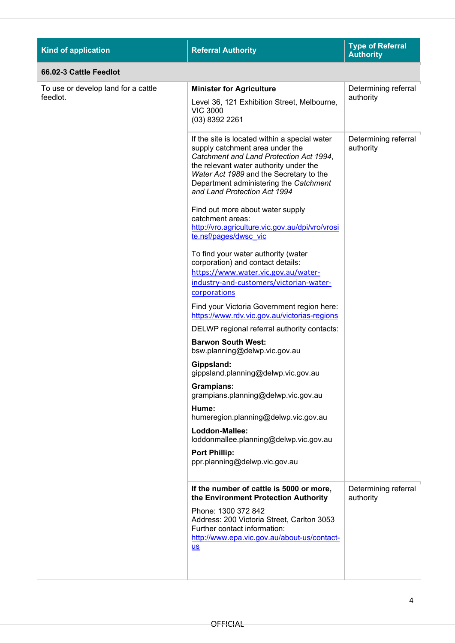| <b>Kind of application</b>          | <b>Referral Authority</b>                                                                                                                                                                                                                                                                  | <b>Type of Referral</b><br><b>Authority</b> |
|-------------------------------------|--------------------------------------------------------------------------------------------------------------------------------------------------------------------------------------------------------------------------------------------------------------------------------------------|---------------------------------------------|
| 66.02-3 Cattle Feedlot              |                                                                                                                                                                                                                                                                                            |                                             |
| To use or develop land for a cattle | <b>Minister for Agriculture</b>                                                                                                                                                                                                                                                            | Determining referral                        |
| feedlot.                            | Level 36, 121 Exhibition Street, Melbourne,<br><b>VIC 3000</b><br>(03) 8392 2261                                                                                                                                                                                                           | authority                                   |
|                                     | If the site is located within a special water<br>supply catchment area under the<br>Catchment and Land Protection Act 1994,<br>the relevant water authority under the<br>Water Act 1989 and the Secretary to the<br>Department administering the Catchment<br>and Land Protection Act 1994 | Determining referral<br>authority           |
|                                     | Find out more about water supply<br>catchment areas:<br>http://vro.agriculture.vic.gov.au/dpi/vro/vrosi<br>te.nsf/pages/dwsc_vic                                                                                                                                                           |                                             |
|                                     | To find your water authority (water<br>corporation) and contact details:<br>https://www.water.vic.gov.au/water-                                                                                                                                                                            |                                             |
|                                     | industry-and-customers/victorian-water-<br>corporations                                                                                                                                                                                                                                    |                                             |
|                                     | Find your Victoria Government region here:<br>https://www.rdv.vic.gov.au/victorias-regions                                                                                                                                                                                                 |                                             |
|                                     | DELWP regional referral authority contacts:                                                                                                                                                                                                                                                |                                             |
|                                     | <b>Barwon South West:</b><br>bsw.planning@delwp.vic.gov.au                                                                                                                                                                                                                                 |                                             |
|                                     | Gippsland:<br>gippsland.planning@delwp.vic.gov.au                                                                                                                                                                                                                                          |                                             |
|                                     | Grampians:<br>grampians.planning@delwp.vic.gov.au                                                                                                                                                                                                                                          |                                             |
|                                     | Hume:<br>humeregion.planning@delwp.vic.gov.au                                                                                                                                                                                                                                              |                                             |
|                                     | Loddon-Mallee:<br>loddonmallee.planning@delwp.vic.gov.au                                                                                                                                                                                                                                   |                                             |
|                                     | <b>Port Phillip:</b><br>ppr.planning@delwp.vic.gov.au                                                                                                                                                                                                                                      |                                             |
|                                     | If the number of cattle is 5000 or more,<br>the Environment Protection Authority                                                                                                                                                                                                           | Determining referral<br>authority           |
|                                     | Phone: 1300 372 842<br>Address: 200 Victoria Street, Carlton 3053<br>Further contact information:<br>http://www.epa.vic.gov.au/about-us/contact-<br>$us$                                                                                                                                   |                                             |
|                                     |                                                                                                                                                                                                                                                                                            |                                             |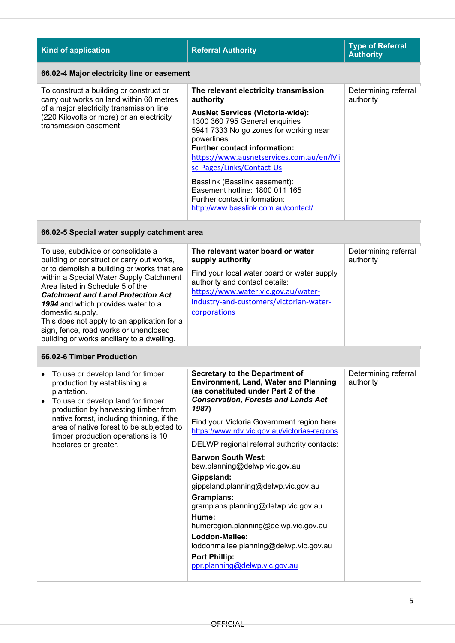| <b>Kind of application</b>                                                                                                                                                                             | <b>Referral Authority</b>                                                                                                                                                                                                                                                                                                                                                                                                                         | <b>Type of Referral</b><br><b>Authority</b> |
|--------------------------------------------------------------------------------------------------------------------------------------------------------------------------------------------------------|---------------------------------------------------------------------------------------------------------------------------------------------------------------------------------------------------------------------------------------------------------------------------------------------------------------------------------------------------------------------------------------------------------------------------------------------------|---------------------------------------------|
| 66.02-4 Major electricity line or easement                                                                                                                                                             |                                                                                                                                                                                                                                                                                                                                                                                                                                                   |                                             |
| To construct a building or construct or<br>carry out works on land within 60 metres<br>of a major electricity transmission line<br>(220 Kilovolts or more) or an electricity<br>transmission easement. | The relevant electricity transmission<br>authority<br><b>AusNet Services (Victoria-wide):</b><br>1300 360 795 General enquiries<br>5941 7333 No go zones for working near<br>powerlines.<br><b>Further contact information:</b><br>https://www.ausnetservices.com.au/en/Mi<br>sc-Pages/Links/Contact-Us<br>Basslink (Basslink easement):<br>Easement hotline: 1800 011 165<br>Further contact information:<br>http://www.basslink.com.au/contact/ | Determining referral<br>authority           |

## **66.02-5 Special water supply catchment area**

| To use, subdivide or consolidate a<br>building or construct or carry out works,                                            | The relevant water board or water<br>supply authority                                                                | Determining referral<br>authority |
|----------------------------------------------------------------------------------------------------------------------------|----------------------------------------------------------------------------------------------------------------------|-----------------------------------|
| or to demolish a building or works that are<br>within a Special Water Supply Catchment<br>Area listed in Schedule 5 of the | Find your local water board or water supply<br>authority and contact details:<br>https://www.water.vic.gov.au/water- |                                   |
| <b>Catchment and Land Protection Act</b>                                                                                   |                                                                                                                      |                                   |
| 1994 and which provides water to a                                                                                         | industry-and-customers/victorian-water-                                                                              |                                   |
| domestic supply.                                                                                                           | corporations                                                                                                         |                                   |
| This does not apply to an application for a                                                                                |                                                                                                                      |                                   |
| sign, fence, road works or unenclosed<br>building or works ancillary to a dwelling.                                        |                                                                                                                      |                                   |

#### **66.02-6 Timber Production**

| To use or develop land for timber<br>production by establishing a<br>plantation.<br>To use or develop land for timber<br>$\bullet$<br>production by harvesting timber from<br>native forest, including thinning, if the<br>area of native forest to be subjected to<br>timber production operations is 10<br>hectares or greater. | <b>Secretary to the Department of</b><br><b>Environment, Land, Water and Planning</b><br>(as constituted under Part 2 of the<br><b>Conservation, Forests and Lands Act</b><br>1987)<br>Find your Victoria Government region here:<br>https://www.rdv.vic.gov.au/victorias-regions<br>DELWP regional referral authority contacts:<br><b>Barwon South West:</b><br>bsw.planning@delwp.vic.gov.au<br>Gippsland:<br>gippsland.planning@delwp.vic.gov.au<br>Grampians:<br>grampians.planning@delwp.vic.gov.au<br>Hume:<br>humeregion.planning@delwp.vic.gov.au<br>Loddon-Mallee:<br>loddonmallee.planning@delwp.vic.gov.au<br><b>Port Phillip:</b><br>ppr.planning@delwp.vic.gov.au | Determining referral<br>authority |
|-----------------------------------------------------------------------------------------------------------------------------------------------------------------------------------------------------------------------------------------------------------------------------------------------------------------------------------|--------------------------------------------------------------------------------------------------------------------------------------------------------------------------------------------------------------------------------------------------------------------------------------------------------------------------------------------------------------------------------------------------------------------------------------------------------------------------------------------------------------------------------------------------------------------------------------------------------------------------------------------------------------------------------|-----------------------------------|
|-----------------------------------------------------------------------------------------------------------------------------------------------------------------------------------------------------------------------------------------------------------------------------------------------------------------------------------|--------------------------------------------------------------------------------------------------------------------------------------------------------------------------------------------------------------------------------------------------------------------------------------------------------------------------------------------------------------------------------------------------------------------------------------------------------------------------------------------------------------------------------------------------------------------------------------------------------------------------------------------------------------------------------|-----------------------------------|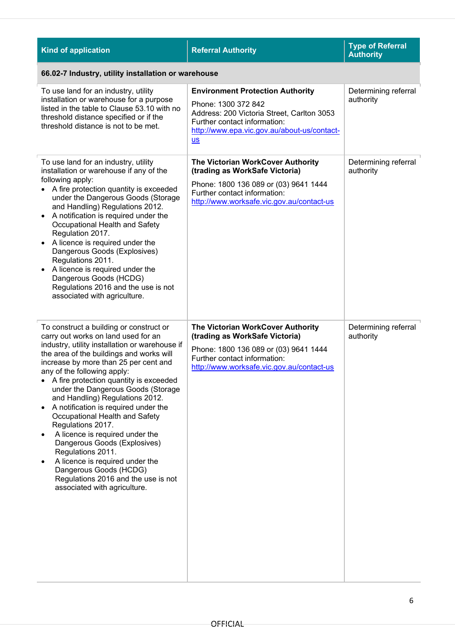| <b>Kind of application</b>                                                                                                                                                                                                                                                                                                                                                                                                                                                                                                                                                                                                                                                                         | <b>Referral Authority</b>                                                                                                                                                                           | <b>Type of Referral</b><br><b>Authority</b> |
|----------------------------------------------------------------------------------------------------------------------------------------------------------------------------------------------------------------------------------------------------------------------------------------------------------------------------------------------------------------------------------------------------------------------------------------------------------------------------------------------------------------------------------------------------------------------------------------------------------------------------------------------------------------------------------------------------|-----------------------------------------------------------------------------------------------------------------------------------------------------------------------------------------------------|---------------------------------------------|
| 66.02-7 Industry, utility installation or warehouse                                                                                                                                                                                                                                                                                                                                                                                                                                                                                                                                                                                                                                                |                                                                                                                                                                                                     |                                             |
| To use land for an industry, utility<br>installation or warehouse for a purpose<br>listed in the table to Clause 53.10 with no<br>threshold distance specified or if the<br>threshold distance is not to be met.                                                                                                                                                                                                                                                                                                                                                                                                                                                                                   | <b>Environment Protection Authority</b><br>Phone: 1300 372 842<br>Address: 200 Victoria Street, Carlton 3053<br>Further contact information:<br>http://www.epa.vic.gov.au/about-us/contact-<br>$us$ | Determining referral<br>authority           |
| To use land for an industry, utility<br>installation or warehouse if any of the<br>following apply:<br>A fire protection quantity is exceeded<br>under the Dangerous Goods (Storage<br>and Handling) Regulations 2012.<br>A notification is required under the<br>Occupational Health and Safety<br>Regulation 2017.<br>A licence is required under the<br>Dangerous Goods (Explosives)<br>Regulations 2011.<br>A licence is required under the<br>Dangerous Goods (HCDG)<br>Regulations 2016 and the use is not<br>associated with agriculture.                                                                                                                                                   | The Victorian WorkCover Authority<br>(trading as WorkSafe Victoria)<br>Phone: 1800 136 089 or (03) 9641 1444<br>Further contact information:<br>http://www.worksafe.vic.gov.au/contact-us           | Determining referral<br>authority           |
| To construct a building or construct or<br>carry out works on land used for an<br>industry, utility installation or warehouse if<br>the area of the buildings and works will<br>increase by more than 25 per cent and<br>any of the following apply:<br>A fire protection quantity is exceeded<br>under the Dangerous Goods (Storage<br>and Handling) Regulations 2012.<br>A notification is required under the<br>Occupational Health and Safety<br>Regulations 2017.<br>A licence is required under the<br>Dangerous Goods (Explosives)<br>Regulations 2011.<br>A licence is required under the<br>Dangerous Goods (HCDG)<br>Regulations 2016 and the use is not<br>associated with agriculture. | The Victorian WorkCover Authority<br>(trading as WorkSafe Victoria)<br>Phone: 1800 136 089 or (03) 9641 1444<br>Further contact information:<br>http://www.worksafe.vic.gov.au/contact-us           | Determining referral<br>authority           |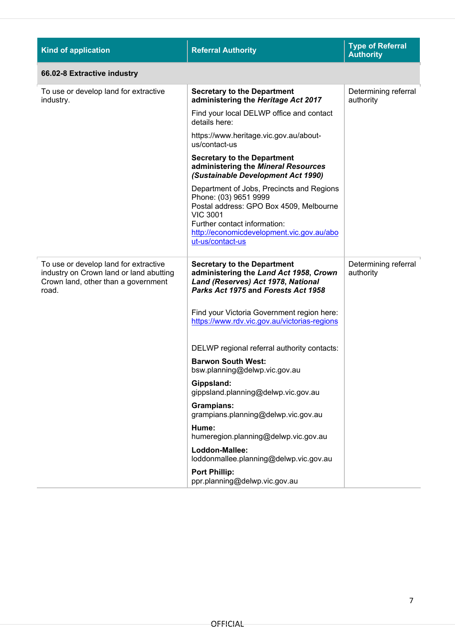| <b>Kind of application</b>                                                                                                       | <b>Referral Authority</b>                                                                                                                                                                                                         | <b>Type of Referral</b><br><b>Authority</b> |  |
|----------------------------------------------------------------------------------------------------------------------------------|-----------------------------------------------------------------------------------------------------------------------------------------------------------------------------------------------------------------------------------|---------------------------------------------|--|
| 66.02-8 Extractive industry                                                                                                      |                                                                                                                                                                                                                                   |                                             |  |
| To use or develop land for extractive<br>industry.                                                                               | <b>Secretary to the Department</b><br>administering the Heritage Act 2017                                                                                                                                                         | Determining referral<br>authority           |  |
|                                                                                                                                  | Find your local DELWP office and contact<br>details here:                                                                                                                                                                         |                                             |  |
|                                                                                                                                  | https://www.heritage.vic.gov.au/about-<br>us/contact-us                                                                                                                                                                           |                                             |  |
|                                                                                                                                  | <b>Secretary to the Department</b><br>administering the Mineral Resources<br>(Sustainable Development Act 1990)                                                                                                                   |                                             |  |
|                                                                                                                                  | Department of Jobs, Precincts and Regions<br>Phone: (03) 9651 9999<br>Postal address: GPO Box 4509, Melbourne<br><b>VIC 3001</b><br>Further contact information:<br>http://economicdevelopment.vic.gov.au/abo<br>ut-us/contact-us |                                             |  |
| To use or develop land for extractive<br>industry on Crown land or land abutting<br>Crown land, other than a government<br>road. | <b>Secretary to the Department</b><br>administering the Land Act 1958, Crown<br>Land (Reserves) Act 1978, National<br>Parks Act 1975 and Forests Act 1958                                                                         | Determining referral<br>authority           |  |
|                                                                                                                                  | Find your Victoria Government region here:<br>https://www.rdv.vic.gov.au/victorias-regions                                                                                                                                        |                                             |  |
|                                                                                                                                  | DELWP regional referral authority contacts:                                                                                                                                                                                       |                                             |  |
|                                                                                                                                  | <b>Barwon South West:</b><br>bsw.planning@delwp.vic.gov.au                                                                                                                                                                        |                                             |  |
|                                                                                                                                  | Gippsland:<br>gippsland.planning@delwp.vic.gov.au                                                                                                                                                                                 |                                             |  |
|                                                                                                                                  | <b>Grampians:</b><br>grampians.planning@delwp.vic.gov.au                                                                                                                                                                          |                                             |  |
|                                                                                                                                  | Hume:<br>humeregion.planning@delwp.vic.gov.au                                                                                                                                                                                     |                                             |  |
|                                                                                                                                  | Loddon-Mallee:<br>loddonmallee.planning@delwp.vic.gov.au                                                                                                                                                                          |                                             |  |
|                                                                                                                                  | <b>Port Phillip:</b><br>ppr.planning@delwp.vic.gov.au                                                                                                                                                                             |                                             |  |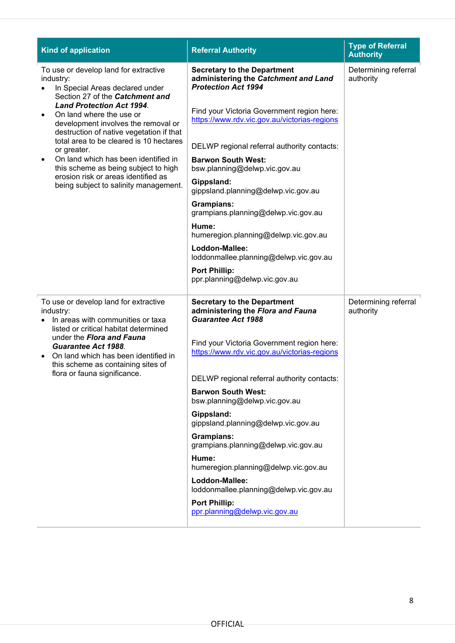| <b>Kind of application</b>                                                                                                                                                                                                                                                  | <b>Referral Authority</b>                                                                                | <b>Type of Referral</b><br><b>Authority</b> |
|-----------------------------------------------------------------------------------------------------------------------------------------------------------------------------------------------------------------------------------------------------------------------------|----------------------------------------------------------------------------------------------------------|---------------------------------------------|
| To use or develop land for extractive<br>industry:<br>In Special Areas declared under<br>Section 27 of the Catchment and<br><b>Land Protection Act 1994.</b><br>On land where the use or<br>development involves the removal or<br>destruction of native vegetation if that | <b>Secretary to the Department</b><br>administering the Catchment and Land<br><b>Protection Act 1994</b> | Determining referral<br>authority           |
|                                                                                                                                                                                                                                                                             | Find your Victoria Government region here:<br>https://www.rdv.vic.gov.au/victorias-regions               |                                             |
| total area to be cleared is 10 hectares<br>or greater.                                                                                                                                                                                                                      | DELWP regional referral authority contacts:                                                              |                                             |
| On land which has been identified in<br>٠<br>this scheme as being subject to high                                                                                                                                                                                           | <b>Barwon South West:</b><br>bsw.planning@delwp.vic.gov.au                                               |                                             |
| erosion risk or areas identified as<br>being subject to salinity management.                                                                                                                                                                                                | Gippsland:<br>gippsland.planning@delwp.vic.gov.au                                                        |                                             |
|                                                                                                                                                                                                                                                                             | <b>Grampians:</b><br>grampians.planning@delwp.vic.gov.au                                                 |                                             |
|                                                                                                                                                                                                                                                                             | Hume:<br>humeregion.planning@delwp.vic.gov.au                                                            |                                             |
|                                                                                                                                                                                                                                                                             | Loddon-Mallee:<br>loddonmallee.planning@delwp.vic.gov.au                                                 |                                             |
|                                                                                                                                                                                                                                                                             | <b>Port Phillip:</b><br>ppr.planning@delwp.vic.gov.au                                                    |                                             |
| To use or develop land for extractive<br>industry:<br>In areas with communities or taxa<br>listed or critical habitat determined<br>under the Flora and Fauna<br><b>Guarantee Act 1988.</b><br>On land which has been identified in<br>this scheme as containing sites of   | <b>Secretary to the Department</b><br>administering the Flora and Fauna<br><b>Guarantee Act 1988</b>     | Determining referral<br>authority           |
|                                                                                                                                                                                                                                                                             | Find your Victoria Government region here:<br>https://www.rdv.vic.gov.au/victorias-regions               |                                             |
| flora or fauna significance.                                                                                                                                                                                                                                                | DELWP regional referral authority contacts:                                                              |                                             |
|                                                                                                                                                                                                                                                                             | <b>Barwon South West:</b><br>bsw.planning@delwp.vic.gov.au                                               |                                             |
|                                                                                                                                                                                                                                                                             | Gippsland:<br>gippsland.planning@delwp.vic.gov.au                                                        |                                             |
|                                                                                                                                                                                                                                                                             | <b>Grampians:</b><br>grampians.planning@delwp.vic.gov.au                                                 |                                             |
|                                                                                                                                                                                                                                                                             | Hume:<br>humeregion.planning@delwp.vic.gov.au                                                            |                                             |
|                                                                                                                                                                                                                                                                             | Loddon-Mallee:<br>loddonmallee.planning@delwp.vic.gov.au                                                 |                                             |
|                                                                                                                                                                                                                                                                             | <b>Port Phillip:</b><br>ppr.planning@delwp.vic.gov.au                                                    |                                             |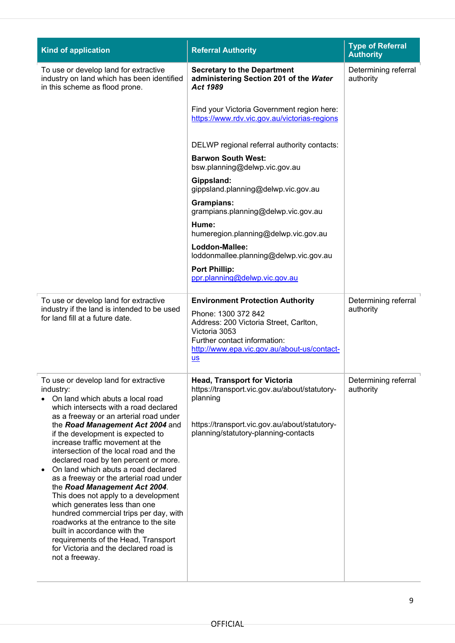| <b>Kind of application</b>                                                                                                                                                                                                                                                                                                                                                                                                                                                                                                                                                                                                                                                                                                                                                                              | <b>Referral Authority</b>                                                                                                                                                                                       | <b>Type of Referral</b><br><b>Authority</b> |
|---------------------------------------------------------------------------------------------------------------------------------------------------------------------------------------------------------------------------------------------------------------------------------------------------------------------------------------------------------------------------------------------------------------------------------------------------------------------------------------------------------------------------------------------------------------------------------------------------------------------------------------------------------------------------------------------------------------------------------------------------------------------------------------------------------|-----------------------------------------------------------------------------------------------------------------------------------------------------------------------------------------------------------------|---------------------------------------------|
| To use or develop land for extractive<br>industry on land which has been identified<br>in this scheme as flood prone.                                                                                                                                                                                                                                                                                                                                                                                                                                                                                                                                                                                                                                                                                   | <b>Secretary to the Department</b><br>administering Section 201 of the Water<br>Act 1989                                                                                                                        | Determining referral<br>authority           |
|                                                                                                                                                                                                                                                                                                                                                                                                                                                                                                                                                                                                                                                                                                                                                                                                         | Find your Victoria Government region here:<br>https://www.rdv.vic.gov.au/victorias-regions                                                                                                                      |                                             |
|                                                                                                                                                                                                                                                                                                                                                                                                                                                                                                                                                                                                                                                                                                                                                                                                         | DELWP regional referral authority contacts:                                                                                                                                                                     |                                             |
|                                                                                                                                                                                                                                                                                                                                                                                                                                                                                                                                                                                                                                                                                                                                                                                                         | <b>Barwon South West:</b><br>bsw.planning@delwp.vic.gov.au                                                                                                                                                      |                                             |
|                                                                                                                                                                                                                                                                                                                                                                                                                                                                                                                                                                                                                                                                                                                                                                                                         | Gippsland:<br>gippsland.planning@delwp.vic.gov.au                                                                                                                                                               |                                             |
|                                                                                                                                                                                                                                                                                                                                                                                                                                                                                                                                                                                                                                                                                                                                                                                                         | <b>Grampians:</b><br>grampians.planning@delwp.vic.gov.au                                                                                                                                                        |                                             |
|                                                                                                                                                                                                                                                                                                                                                                                                                                                                                                                                                                                                                                                                                                                                                                                                         | Hume:<br>humeregion.planning@delwp.vic.gov.au                                                                                                                                                                   |                                             |
|                                                                                                                                                                                                                                                                                                                                                                                                                                                                                                                                                                                                                                                                                                                                                                                                         | Loddon-Mallee:<br>loddonmallee.planning@delwp.vic.gov.au                                                                                                                                                        |                                             |
|                                                                                                                                                                                                                                                                                                                                                                                                                                                                                                                                                                                                                                                                                                                                                                                                         | <b>Port Phillip:</b><br>ppr.planning@delwp.vic.gov.au                                                                                                                                                           |                                             |
| To use or develop land for extractive<br>industry if the land is intended to be used<br>for land fill at a future date.                                                                                                                                                                                                                                                                                                                                                                                                                                                                                                                                                                                                                                                                                 | <b>Environment Protection Authority</b><br>Phone: 1300 372 842<br>Address: 200 Victoria Street, Carlton,<br>Victoria 3053<br>Further contact information:<br>http://www.epa.vic.gov.au/about-us/contact-<br>$S$ | Determining referral<br>authority           |
| To use or develop land for extractive<br>industry:<br>On land which abuts a local road<br>which intersects with a road declared<br>as a freeway or an arterial road under<br>the Road Management Act 2004 and<br>if the development is expected to<br>increase traffic movement at the<br>intersection of the local road and the<br>declared road by ten percent or more.<br>On land which abuts a road declared<br>$\bullet$<br>as a freeway or the arterial road under<br>the Road Management Act 2004.<br>This does not apply to a development<br>which generates less than one<br>hundred commercial trips per day, with<br>roadworks at the entrance to the site<br>built in accordance with the<br>requirements of the Head, Transport<br>for Victoria and the declared road is<br>not a freeway. | <b>Head, Transport for Victoria</b><br>https://transport.vic.gov.au/about/statutory-<br>planning<br>https://transport.vic.gov.au/about/statutory-<br>planning/statutory-planning-contacts                       | Determining referral<br>authority           |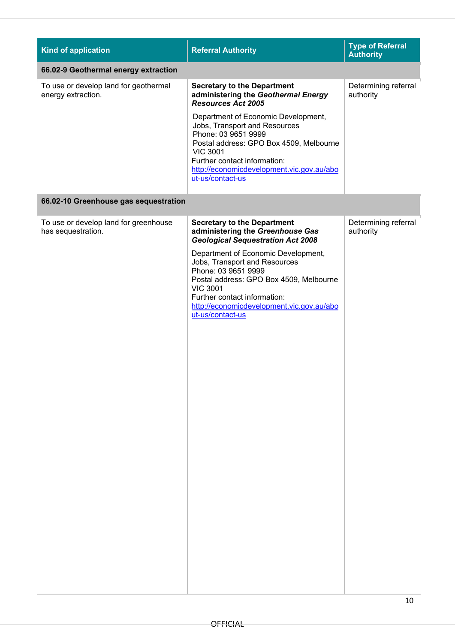| <b>Kind of application</b>                                  | <b>Referral Authority</b>                                                                                                                                                                                                                                                                                                                                                        | <b>Type of Referral</b><br><b>Authority</b> |  |
|-------------------------------------------------------------|----------------------------------------------------------------------------------------------------------------------------------------------------------------------------------------------------------------------------------------------------------------------------------------------------------------------------------------------------------------------------------|---------------------------------------------|--|
| 66.02-9 Geothermal energy extraction                        |                                                                                                                                                                                                                                                                                                                                                                                  |                                             |  |
| To use or develop land for geothermal<br>energy extraction. | <b>Secretary to the Department</b><br>administering the Geothermal Energy<br><b>Resources Act 2005</b><br>Department of Economic Development,<br>Jobs, Transport and Resources<br>Phone: 03 9651 9999<br>Postal address: GPO Box 4509, Melbourne<br><b>VIC 3001</b><br>Further contact information:<br>http://economicdevelopment.vic.gov.au/abo<br>ut-us/contact-us             | Determining referral<br>authority           |  |
| 66.02-10 Greenhouse gas sequestration                       |                                                                                                                                                                                                                                                                                                                                                                                  |                                             |  |
| To use or develop land for greenhouse<br>has sequestration. | <b>Secretary to the Department</b><br>administering the Greenhouse Gas<br><b>Geological Sequestration Act 2008</b><br>Department of Economic Development,<br>Jobs, Transport and Resources<br>Phone: 03 9651 9999<br>Postal address: GPO Box 4509, Melbourne<br><b>VIC 3001</b><br>Further contact information:<br>http://economicdevelopment.vic.gov.au/abo<br>ut-us/contact-us | Determining referral<br>authority           |  |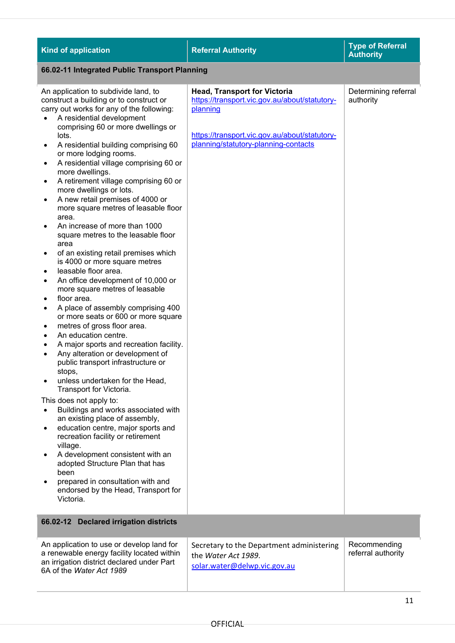| <b>Kind of application</b>                                                                                                                                                                                                                                                                                                                                                                                                                                                                                                                                                                                                                                                                                                                                                                                                                                                                                                                                                                                                                                                                                                                                                                                                                                                                                                                                                                                                                                                                                                                                                                                                                                                                       | <b>Referral Authority</b>                                                                                                                                                                 | <b>Type of Referral</b><br><b>Authority</b> |  |
|--------------------------------------------------------------------------------------------------------------------------------------------------------------------------------------------------------------------------------------------------------------------------------------------------------------------------------------------------------------------------------------------------------------------------------------------------------------------------------------------------------------------------------------------------------------------------------------------------------------------------------------------------------------------------------------------------------------------------------------------------------------------------------------------------------------------------------------------------------------------------------------------------------------------------------------------------------------------------------------------------------------------------------------------------------------------------------------------------------------------------------------------------------------------------------------------------------------------------------------------------------------------------------------------------------------------------------------------------------------------------------------------------------------------------------------------------------------------------------------------------------------------------------------------------------------------------------------------------------------------------------------------------------------------------------------------------|-------------------------------------------------------------------------------------------------------------------------------------------------------------------------------------------|---------------------------------------------|--|
|                                                                                                                                                                                                                                                                                                                                                                                                                                                                                                                                                                                                                                                                                                                                                                                                                                                                                                                                                                                                                                                                                                                                                                                                                                                                                                                                                                                                                                                                                                                                                                                                                                                                                                  | 66.02-11 Integrated Public Transport Planning                                                                                                                                             |                                             |  |
| An application to subdivide land, to<br>construct a building or to construct or<br>carry out works for any of the following:<br>A residential development<br>$\bullet$<br>comprising 60 or more dwellings or<br>lots.<br>A residential building comprising 60<br>$\bullet$<br>or more lodging rooms.<br>A residential village comprising 60 or<br>$\bullet$<br>more dwellings.<br>A retirement village comprising 60 or<br>$\bullet$<br>more dwellings or lots.<br>A new retail premises of 4000 or<br>$\bullet$<br>more square metres of leasable floor<br>area.<br>An increase of more than 1000<br>$\bullet$<br>square metres to the leasable floor<br>area<br>of an existing retail premises which<br>٠<br>is 4000 or more square metres<br>leasable floor area.<br>$\bullet$<br>An office development of 10,000 or<br>٠<br>more square metres of leasable<br>floor area.<br>٠<br>A place of assembly comprising 400<br>$\bullet$<br>or more seats or 600 or more square<br>metres of gross floor area.<br>٠<br>An education centre.<br>٠<br>A major sports and recreation facility.<br>٠<br>Any alteration or development of<br>$\bullet$<br>public transport infrastructure or<br>stops,<br>unless undertaken for the Head,<br>$\bullet$<br>Transport for Victoria.<br>This does not apply to:<br>Buildings and works associated with<br>$\bullet$<br>an existing place of assembly,<br>education centre, major sports and<br>$\bullet$<br>recreation facility or retirement<br>village.<br>A development consistent with an<br>$\bullet$<br>adopted Structure Plan that has<br>been<br>prepared in consultation with and<br>$\bullet$<br>endorsed by the Head, Transport for<br>Victoria. | <b>Head, Transport for Victoria</b><br>https://transport.vic.gov.au/about/statutory-<br>planning<br>https://transport.vic.gov.au/about/statutory-<br>planning/statutory-planning-contacts | Determining referral<br>authority           |  |
| 66.02-12 Declared irrigation districts                                                                                                                                                                                                                                                                                                                                                                                                                                                                                                                                                                                                                                                                                                                                                                                                                                                                                                                                                                                                                                                                                                                                                                                                                                                                                                                                                                                                                                                                                                                                                                                                                                                           |                                                                                                                                                                                           |                                             |  |
| An application to use or develop land for<br>a renewable energy facility located within<br>an irrigation district declared under Part<br>6A of the Water Act 1989                                                                                                                                                                                                                                                                                                                                                                                                                                                                                                                                                                                                                                                                                                                                                                                                                                                                                                                                                                                                                                                                                                                                                                                                                                                                                                                                                                                                                                                                                                                                | Secretary to the Department administering<br>the Water Act 1989.<br>solar.water@delwp.vic.gov.au                                                                                          | Recommending<br>referral authority          |  |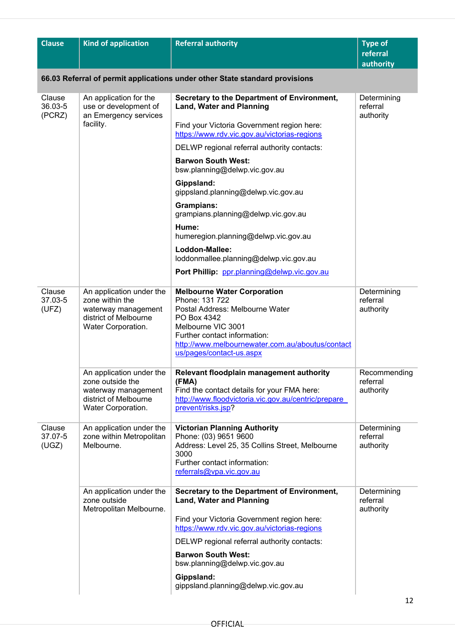| <b>Clause</b>               | <b>Kind of application</b>                                                                                         | <b>Referral authority</b>                                                                                                                                                                                                                    | <b>Type of</b>                        |  |
|-----------------------------|--------------------------------------------------------------------------------------------------------------------|----------------------------------------------------------------------------------------------------------------------------------------------------------------------------------------------------------------------------------------------|---------------------------------------|--|
|                             |                                                                                                                    |                                                                                                                                                                                                                                              | referral<br>authority                 |  |
|                             | 66.03 Referral of permit applications under other State standard provisions                                        |                                                                                                                                                                                                                                              |                                       |  |
| Clause<br>36.03-5<br>(PCRZ) | An application for the<br>use or development of<br>an Emergency services                                           | Secretary to the Department of Environment,<br><b>Land, Water and Planning</b>                                                                                                                                                               | Determining<br>referral<br>authority  |  |
|                             | facility.                                                                                                          | Find your Victoria Government region here:<br>https://www.rdv.vic.gov.au/victorias-regions                                                                                                                                                   |                                       |  |
|                             |                                                                                                                    | DELWP regional referral authority contacts:                                                                                                                                                                                                  |                                       |  |
|                             |                                                                                                                    | <b>Barwon South West:</b><br>bsw.planning@delwp.vic.gov.au                                                                                                                                                                                   |                                       |  |
|                             |                                                                                                                    | Gippsland:<br>gippsland.planning@delwp.vic.gov.au                                                                                                                                                                                            |                                       |  |
|                             |                                                                                                                    | <b>Grampians:</b><br>grampians.planning@delwp.vic.gov.au                                                                                                                                                                                     |                                       |  |
|                             |                                                                                                                    | Hume:<br>humeregion.planning@delwp.vic.gov.au                                                                                                                                                                                                |                                       |  |
|                             |                                                                                                                    | Loddon-Mallee:<br>loddonmallee.planning@delwp.vic.gov.au                                                                                                                                                                                     |                                       |  |
|                             |                                                                                                                    | Port Phillip: ppr.planning@delwp.vic.gov.au                                                                                                                                                                                                  |                                       |  |
| Clause<br>37.03-5<br>(UFZ)  | An application under the<br>zone within the<br>waterway management<br>district of Melbourne<br>Water Corporation.  | <b>Melbourne Water Corporation</b><br>Phone: 131 722<br>Postal Address: Melbourne Water<br>PO Box 4342<br>Melbourne VIC 3001<br>Further contact information:<br>http://www.melbournewater.com.au/aboutus/contact<br>us/pages/contact-us.aspx | Determining<br>referral<br>authority  |  |
|                             | An application under the<br>zone outside the<br>waterway management<br>district of Melbourne<br>Water Corporation. | Relevant floodplain management authority<br>(FMA)<br>Find the contact details for your FMA here:<br>http://www.floodvictoria.vic.gov.au/centric/prepare<br>prevent/risks.jsp?                                                                | Recommending<br>referral<br>authority |  |
| Clause<br>37.07-5<br>(UGZ)  | An application under the<br>zone within Metropolitan<br>Melbourne.                                                 | <b>Victorian Planning Authority</b><br>Phone: (03) 9651 9600<br>Address: Level 25, 35 Collins Street, Melbourne<br>3000<br>Further contact information:<br>referrals@vpa.vic.gov.au                                                          | Determining<br>referral<br>authority  |  |
|                             | An application under the<br>zone outside<br>Metropolitan Melbourne.                                                | Secretary to the Department of Environment,<br><b>Land, Water and Planning</b>                                                                                                                                                               | Determining<br>referral<br>authority  |  |
|                             |                                                                                                                    | Find your Victoria Government region here:<br>https://www.rdv.vic.gov.au/victorias-regions                                                                                                                                                   |                                       |  |
|                             |                                                                                                                    | DELWP regional referral authority contacts:                                                                                                                                                                                                  |                                       |  |
|                             |                                                                                                                    | <b>Barwon South West:</b><br>bsw.planning@delwp.vic.gov.au                                                                                                                                                                                   |                                       |  |
|                             |                                                                                                                    | Gippsland:<br>gippsland.planning@delwp.vic.gov.au                                                                                                                                                                                            |                                       |  |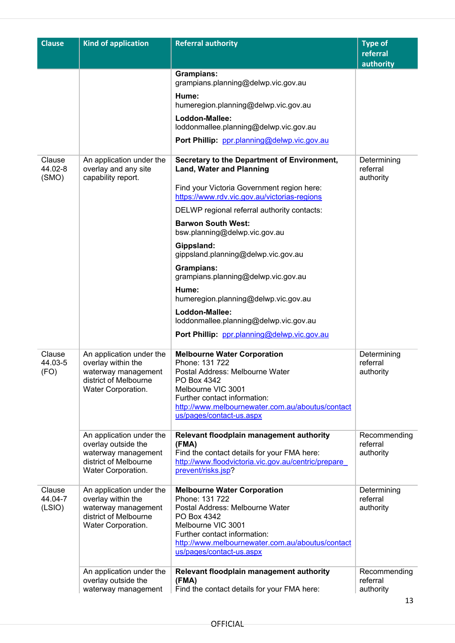| <b>Clause</b>               | <b>Kind of application</b>                                                                                           | <b>Referral authority</b>                                                                                                                                                                                                                    | <b>Type of</b>                        |
|-----------------------------|----------------------------------------------------------------------------------------------------------------------|----------------------------------------------------------------------------------------------------------------------------------------------------------------------------------------------------------------------------------------------|---------------------------------------|
|                             |                                                                                                                      |                                                                                                                                                                                                                                              | referral<br>authority                 |
|                             |                                                                                                                      | <b>Grampians:</b><br>grampians.planning@delwp.vic.gov.au                                                                                                                                                                                     |                                       |
|                             |                                                                                                                      | Hume:<br>humeregion.planning@delwp.vic.gov.au                                                                                                                                                                                                |                                       |
|                             |                                                                                                                      | Loddon-Mallee:<br>loddonmallee.planning@delwp.vic.gov.au                                                                                                                                                                                     |                                       |
|                             |                                                                                                                      | Port Phillip: ppr.planning@delwp.vic.gov.au                                                                                                                                                                                                  |                                       |
| Clause<br>44.02-8<br>(SMO)  | An application under the<br>overlay and any site<br>capability report.                                               | Secretary to the Department of Environment,<br><b>Land, Water and Planning</b>                                                                                                                                                               | Determining<br>referral<br>authority  |
|                             |                                                                                                                      | Find your Victoria Government region here:<br>https://www.rdv.vic.gov.au/victorias-regions                                                                                                                                                   |                                       |
|                             |                                                                                                                      | DELWP regional referral authority contacts:                                                                                                                                                                                                  |                                       |
|                             |                                                                                                                      | <b>Barwon South West:</b><br>bsw.planning@delwp.vic.gov.au                                                                                                                                                                                   |                                       |
|                             |                                                                                                                      | Gippsland:<br>gippsland.planning@delwp.vic.gov.au                                                                                                                                                                                            |                                       |
|                             |                                                                                                                      | <b>Grampians:</b><br>grampians.planning@delwp.vic.gov.au                                                                                                                                                                                     |                                       |
|                             |                                                                                                                      | Hume:<br>humeregion.planning@delwp.vic.gov.au                                                                                                                                                                                                |                                       |
|                             |                                                                                                                      | Loddon-Mallee:<br>loddonmallee.planning@delwp.vic.gov.au                                                                                                                                                                                     |                                       |
|                             |                                                                                                                      | Port Phillip: ppr.planning@delwp.vic.gov.au                                                                                                                                                                                                  |                                       |
| Clause<br>44.03-5<br>(FO)   | An application under the<br>overlay within the<br>waterway management<br>district of Melbourne<br>Water Corporation. | <b>Melbourne Water Corporation</b><br>Phone: 131 722<br>Postal Address: Melbourne Water<br>PO Box 4342<br>Melbourne VIC 3001<br>Further contact information:<br>http://www.melbournewater.com.au/aboutus/contact<br>us/pages/contact-us.aspx | Determining<br>referral<br>authority  |
|                             | An application under the<br>overlay outside the                                                                      | Relevant floodplain management authority<br>(FMA)                                                                                                                                                                                            | Recommending<br>referral              |
|                             | waterway management<br>district of Melbourne<br>Water Corporation.                                                   | Find the contact details for your FMA here:<br>http://www.floodvictoria.vic.gov.au/centric/prepare<br>prevent/risks.jsp?                                                                                                                     | authority                             |
| Clause<br>44.04-7<br>(LSIO) | An application under the<br>overlay within the<br>waterway management<br>district of Melbourne<br>Water Corporation. | <b>Melbourne Water Corporation</b><br>Phone: 131 722<br>Postal Address: Melbourne Water<br>PO Box 4342<br>Melbourne VIC 3001<br>Further contact information:<br>http://www.melbournewater.com.au/aboutus/contact<br>us/pages/contact-us.aspx | Determining<br>referral<br>authority  |
|                             | An application under the<br>overlay outside the<br>waterway management                                               | Relevant floodplain management authority<br>(FMA)<br>Find the contact details for your FMA here:                                                                                                                                             | Recommending<br>referral<br>authority |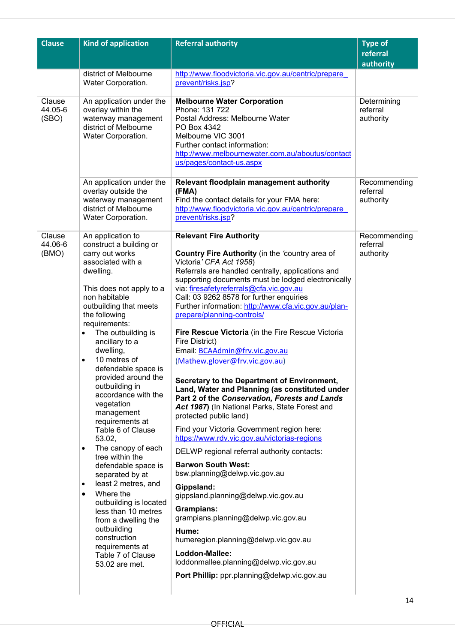| <b>Clause</b>              | <b>Kind of application</b>                                                                                                                                                                                                                                                                                                                                                                                                                                                                                                                                                                                                                                                                                                                                                                       | <b>Referral authority</b>                                                                                                                                                                                                                                                                                                                                                                                                                                                                                                                                                                                                                                                                                                                                                                                                                                                                                                                                                                                                                                                                                                                                                                                                                                             | <b>Type of</b><br>referral            |
|----------------------------|--------------------------------------------------------------------------------------------------------------------------------------------------------------------------------------------------------------------------------------------------------------------------------------------------------------------------------------------------------------------------------------------------------------------------------------------------------------------------------------------------------------------------------------------------------------------------------------------------------------------------------------------------------------------------------------------------------------------------------------------------------------------------------------------------|-----------------------------------------------------------------------------------------------------------------------------------------------------------------------------------------------------------------------------------------------------------------------------------------------------------------------------------------------------------------------------------------------------------------------------------------------------------------------------------------------------------------------------------------------------------------------------------------------------------------------------------------------------------------------------------------------------------------------------------------------------------------------------------------------------------------------------------------------------------------------------------------------------------------------------------------------------------------------------------------------------------------------------------------------------------------------------------------------------------------------------------------------------------------------------------------------------------------------------------------------------------------------|---------------------------------------|
|                            |                                                                                                                                                                                                                                                                                                                                                                                                                                                                                                                                                                                                                                                                                                                                                                                                  |                                                                                                                                                                                                                                                                                                                                                                                                                                                                                                                                                                                                                                                                                                                                                                                                                                                                                                                                                                                                                                                                                                                                                                                                                                                                       | authority                             |
|                            | district of Melbourne<br>Water Corporation.                                                                                                                                                                                                                                                                                                                                                                                                                                                                                                                                                                                                                                                                                                                                                      | http://www.floodvictoria.vic.gov.au/centric/prepare<br>prevent/risks.jsp?                                                                                                                                                                                                                                                                                                                                                                                                                                                                                                                                                                                                                                                                                                                                                                                                                                                                                                                                                                                                                                                                                                                                                                                             |                                       |
| Clause<br>44.05-6<br>(SBO) | An application under the<br>overlay within the<br>waterway management<br>district of Melbourne<br>Water Corporation.                                                                                                                                                                                                                                                                                                                                                                                                                                                                                                                                                                                                                                                                             | <b>Melbourne Water Corporation</b><br>Phone: 131 722<br>Postal Address: Melbourne Water<br>PO Box 4342<br>Melbourne VIC 3001<br>Further contact information:<br>http://www.melbournewater.com.au/aboutus/contact<br>us/pages/contact-us.aspx                                                                                                                                                                                                                                                                                                                                                                                                                                                                                                                                                                                                                                                                                                                                                                                                                                                                                                                                                                                                                          | Determining<br>referral<br>authority  |
|                            | An application under the<br>overlay outside the<br>waterway management<br>district of Melbourne<br>Water Corporation.                                                                                                                                                                                                                                                                                                                                                                                                                                                                                                                                                                                                                                                                            | Relevant floodplain management authority<br>(FMA)<br>Find the contact details for your FMA here:<br>http://www.floodvictoria.vic.gov.au/centric/prepare<br>prevent/risks.jsp?                                                                                                                                                                                                                                                                                                                                                                                                                                                                                                                                                                                                                                                                                                                                                                                                                                                                                                                                                                                                                                                                                         | Recommending<br>referral<br>authority |
| Clause<br>44.06-6<br>(BMO) | An application to<br>construct a building or<br>carry out works<br>associated with a<br>dwelling.<br>This does not apply to a<br>non habitable<br>outbuilding that meets<br>the following<br>requirements:<br>The outbuilding is<br>ancillary to a<br>dwelling,<br>10 metres of<br>$\bullet$<br>defendable space is<br>provided around the<br>outbuilding in<br>accordance with the<br>vegetation<br>management<br>requirements at<br>Table 6 of Clause<br>53.02,<br>The canopy of each<br>$\bullet$<br>tree within the<br>defendable space is<br>separated by at<br>least 2 metres, and<br>$\bullet$<br>Where the<br>$\bullet$<br>outbuilding is located<br>less than 10 metres<br>from a dwelling the<br>outbuilding<br>construction<br>requirements at<br>Table 7 of Clause<br>53.02 are met. | <b>Relevant Fire Authority</b><br>Country Fire Authority (in the 'country area of<br>Victoria' CFA Act 1958)<br>Referrals are handled centrally, applications and<br>supporting documents must be lodged electronically<br>via: firesafetyreferrals@cfa.vic.gov.au<br>Call: 03 9262 8578 for further enquiries<br>Further information: http://www.cfa.vic.gov.au/plan-<br>prepare/planning-controls/<br>Fire Rescue Victoria (in the Fire Rescue Victoria<br>Fire District)<br>Email: BCAAdmin@frv.vic.gov.au<br>(Mathew.glover@frv.vic.gov.au)<br>Secretary to the Department of Environment,<br>Land, Water and Planning (as constituted under<br>Part 2 of the Conservation, Forests and Lands<br>Act 1987) (In National Parks, State Forest and<br>protected public land)<br>Find your Victoria Government region here:<br>https://www.rdv.vic.gov.au/victorias-regions<br>DELWP regional referral authority contacts:<br><b>Barwon South West:</b><br>bsw.planning@delwp.vic.gov.au<br>Gippsland:<br>gippsland.planning@delwp.vic.gov.au<br><b>Grampians:</b><br>grampians.planning@delwp.vic.gov.au<br>Hume:<br>humeregion.planning@delwp.vic.gov.au<br>Loddon-Mallee:<br>loddonmallee.planning@delwp.vic.gov.au<br>Port Phillip: ppr.planning@delwp.vic.gov.au | Recommending<br>referral<br>authority |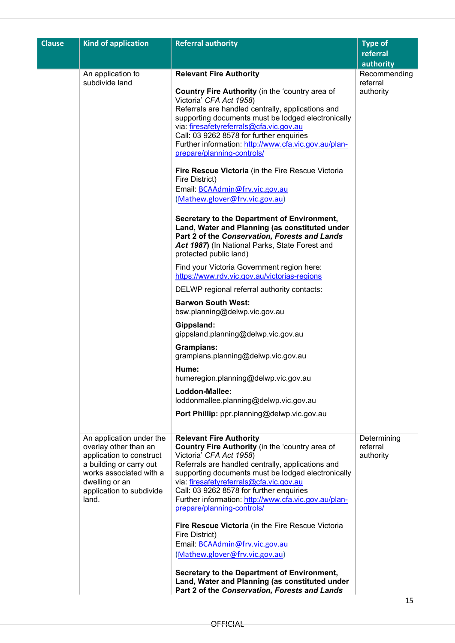| <b>Clause</b> | <b>Kind of application</b>                                                                                                                                                                 | <b>Referral authority</b>                                                                                                                                                                                                                                                                                                                                                                            | <b>Type of</b><br>referral            |
|---------------|--------------------------------------------------------------------------------------------------------------------------------------------------------------------------------------------|------------------------------------------------------------------------------------------------------------------------------------------------------------------------------------------------------------------------------------------------------------------------------------------------------------------------------------------------------------------------------------------------------|---------------------------------------|
|               |                                                                                                                                                                                            |                                                                                                                                                                                                                                                                                                                                                                                                      | authority                             |
|               | An application to<br>subdivide land                                                                                                                                                        | <b>Relevant Fire Authority</b><br>Country Fire Authority (in the 'country area of<br>Victoria' CFA Act 1958)<br>Referrals are handled centrally, applications and<br>supporting documents must be lodged electronically<br>via: firesafetyreferrals@cfa.vic.gov.au<br>Call: 03 9262 8578 for further enquiries<br>Further information: http://www.cfa.vic.gov.au/plan-<br>prepare/planning-controls/ | Recommending<br>referral<br>authority |
|               |                                                                                                                                                                                            | Fire Rescue Victoria (in the Fire Rescue Victoria<br>Fire District)<br>Email: BCAAdmin@frv.vic.gov.au<br>(Mathew.glover@frv.vic.gov.au)                                                                                                                                                                                                                                                              |                                       |
|               |                                                                                                                                                                                            | Secretary to the Department of Environment,<br>Land, Water and Planning (as constituted under<br>Part 2 of the Conservation, Forests and Lands<br>Act 1987) (In National Parks, State Forest and<br>protected public land)                                                                                                                                                                           |                                       |
|               |                                                                                                                                                                                            | Find your Victoria Government region here:<br>https://www.rdv.vic.gov.au/victorias-regions                                                                                                                                                                                                                                                                                                           |                                       |
|               |                                                                                                                                                                                            | DELWP regional referral authority contacts:                                                                                                                                                                                                                                                                                                                                                          |                                       |
|               |                                                                                                                                                                                            | <b>Barwon South West:</b><br>bsw.planning@delwp.vic.gov.au                                                                                                                                                                                                                                                                                                                                           |                                       |
|               |                                                                                                                                                                                            | Gippsland:<br>gippsland.planning@delwp.vic.gov.au                                                                                                                                                                                                                                                                                                                                                    |                                       |
|               |                                                                                                                                                                                            | <b>Grampians:</b><br>grampians.planning@delwp.vic.gov.au                                                                                                                                                                                                                                                                                                                                             |                                       |
|               |                                                                                                                                                                                            | Hume:<br>humeregion.planning@delwp.vic.gov.au                                                                                                                                                                                                                                                                                                                                                        |                                       |
|               |                                                                                                                                                                                            | Loddon-Mallee:<br>loddonmallee.planning@delwp.vic.gov.au                                                                                                                                                                                                                                                                                                                                             |                                       |
|               |                                                                                                                                                                                            | Port Phillip: ppr.planning@delwp.vic.gov.au                                                                                                                                                                                                                                                                                                                                                          |                                       |
|               | An application under the<br>overlay other than an<br>application to construct<br>a building or carry out<br>works associated with a<br>dwelling or an<br>application to subdivide<br>land. | <b>Relevant Fire Authority</b><br>Country Fire Authority (in the 'country area of<br>Victoria' CFA Act 1958)<br>Referrals are handled centrally, applications and<br>supporting documents must be lodged electronically<br>via: firesafetyreferrals@cfa.vic.gov.au<br>Call: 03 9262 8578 for further enquiries<br>Further information: http://www.cfa.vic.gov.au/plan-<br>prepare/planning-controls/ | Determining<br>referral<br>authority  |
|               |                                                                                                                                                                                            | Fire Rescue Victoria (in the Fire Rescue Victoria<br>Fire District)<br>Email: BCAAdmin@frv.vic.gov.au                                                                                                                                                                                                                                                                                                |                                       |
|               |                                                                                                                                                                                            | (Mathew.glover@frv.vic.gov.au)<br>Secretary to the Department of Environment,<br>Land, Water and Planning (as constituted under<br>Part 2 of the Conservation, Forests and Lands                                                                                                                                                                                                                     | 15 <sup>2</sup>                       |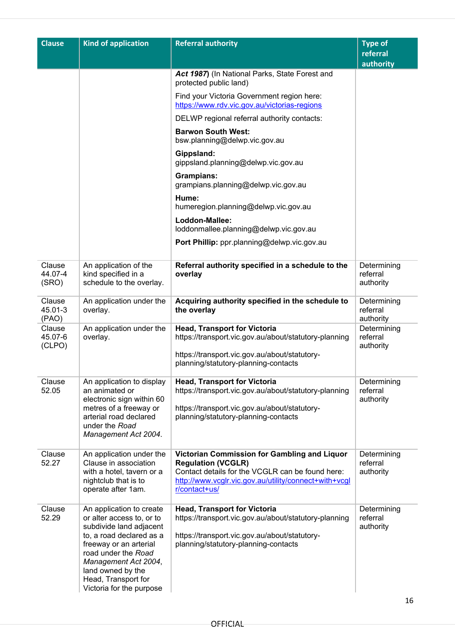| <b>Clause</b>               | <b>Kind of application</b>                                                                                                                                                                                                                                    | <b>Referral authority</b>                                                                                                                                                                               | <b>Type of</b><br>referral<br>authority |
|-----------------------------|---------------------------------------------------------------------------------------------------------------------------------------------------------------------------------------------------------------------------------------------------------------|---------------------------------------------------------------------------------------------------------------------------------------------------------------------------------------------------------|-----------------------------------------|
|                             |                                                                                                                                                                                                                                                               | Act 1987) (In National Parks, State Forest and<br>protected public land)                                                                                                                                |                                         |
|                             |                                                                                                                                                                                                                                                               | Find your Victoria Government region here:<br>https://www.rdv.vic.gov.au/victorias-regions                                                                                                              |                                         |
|                             |                                                                                                                                                                                                                                                               | DELWP regional referral authority contacts:                                                                                                                                                             |                                         |
|                             |                                                                                                                                                                                                                                                               | <b>Barwon South West:</b><br>bsw.planning@delwp.vic.gov.au                                                                                                                                              |                                         |
|                             |                                                                                                                                                                                                                                                               | Gippsland:<br>gippsland.planning@delwp.vic.gov.au                                                                                                                                                       |                                         |
|                             |                                                                                                                                                                                                                                                               | <b>Grampians:</b><br>grampians.planning@delwp.vic.gov.au                                                                                                                                                |                                         |
|                             |                                                                                                                                                                                                                                                               | Hume:<br>humeregion.planning@delwp.vic.gov.au                                                                                                                                                           |                                         |
|                             |                                                                                                                                                                                                                                                               | Loddon-Mallee:<br>loddonmallee.planning@delwp.vic.gov.au                                                                                                                                                |                                         |
|                             |                                                                                                                                                                                                                                                               | Port Phillip: ppr.planning@delwp.vic.gov.au                                                                                                                                                             |                                         |
| Clause<br>44.07-4<br>(SRO)  | An application of the<br>kind specified in a<br>schedule to the overlay.                                                                                                                                                                                      | Referral authority specified in a schedule to the<br>overlay                                                                                                                                            | Determining<br>referral<br>authority    |
| Clause<br>45.01-3<br>(PAO)  | An application under the<br>overlay.                                                                                                                                                                                                                          | Acquiring authority specified in the schedule to<br>the overlay                                                                                                                                         | Determining<br>referral<br>authority    |
| Clause<br>45.07-6<br>(CLPO) | An application under the<br>overlay.                                                                                                                                                                                                                          | <b>Head, Transport for Victoria</b><br>https://transport.vic.gov.au/about/statutory-planning                                                                                                            | Determining<br>referral<br>authority    |
|                             |                                                                                                                                                                                                                                                               | https://transport.vic.gov.au/about/statutory-<br>planning/statutory-planning-contacts                                                                                                                   |                                         |
| Clause<br>52.05             | An application to display<br>an animated or                                                                                                                                                                                                                   | <b>Head, Transport for Victoria</b><br>https://transport.vic.gov.au/about/statutory-planning                                                                                                            | Determining<br>referral                 |
|                             | electronic sign within 60<br>metres of a freeway or<br>arterial road declared<br>under the Road<br>Management Act 2004.                                                                                                                                       | https://transport.vic.gov.au/about/statutory-<br>planning/statutory-planning-contacts                                                                                                                   | authority                               |
| Clause<br>52.27             | An application under the<br>Clause in association<br>with a hotel, tavern or a<br>nightclub that is to<br>operate after 1am.                                                                                                                                  | Victorian Commission for Gambling and Liquor<br><b>Regulation (VCGLR)</b><br>Contact details for the VCGLR can be found here:<br>http://www.vcglr.vic.gov.au/utility/connect+with+vcgl<br>r/contact+us/ | Determining<br>referral<br>authority    |
| Clause<br>52.29             | An application to create<br>or alter access to, or to<br>subdivide land adjacent<br>to, a road declared as a<br>freeway or an arterial<br>road under the Road<br>Management Act 2004,<br>land owned by the<br>Head, Transport for<br>Victoria for the purpose | <b>Head, Transport for Victoria</b><br>https://transport.vic.gov.au/about/statutory-planning<br>https://transport.vic.gov.au/about/statutory-<br>planning/statutory-planning-contacts                   | Determining<br>referral<br>authority    |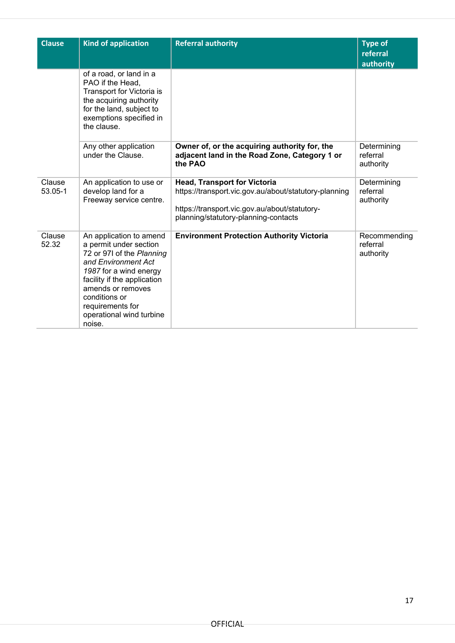| <b>Clause</b>     | <b>Kind of application</b>                                                                                                                                                                                                                                     | <b>Referral authority</b>                                                                                                                                                             | <b>Type of</b><br>referral<br>authority |
|-------------------|----------------------------------------------------------------------------------------------------------------------------------------------------------------------------------------------------------------------------------------------------------------|---------------------------------------------------------------------------------------------------------------------------------------------------------------------------------------|-----------------------------------------|
|                   | of a road, or land in a<br>PAO if the Head,<br>Transport for Victoria is<br>the acquiring authority<br>for the land, subject to<br>exemptions specified in<br>the clause.                                                                                      |                                                                                                                                                                                       |                                         |
|                   | Any other application<br>under the Clause.                                                                                                                                                                                                                     | Owner of, or the acquiring authority for, the<br>adjacent land in the Road Zone, Category 1 or<br>the PAO                                                                             | Determining<br>referral<br>authority    |
| Clause<br>53.05-1 | An application to use or<br>develop land for a<br>Freeway service centre.                                                                                                                                                                                      | <b>Head, Transport for Victoria</b><br>https://transport.vic.gov.au/about/statutory-planning<br>https://transport.vic.gov.au/about/statutory-<br>planning/statutory-planning-contacts | Determining<br>referral<br>authority    |
| Clause<br>52.32   | An application to amend<br>a permit under section<br>72 or 971 of the Planning<br>and Environment Act<br>1987 for a wind energy<br>facility if the application<br>amends or removes<br>conditions or<br>requirements for<br>operational wind turbine<br>noise. | <b>Environment Protection Authority Victoria</b>                                                                                                                                      | Recommending<br>referral<br>authority   |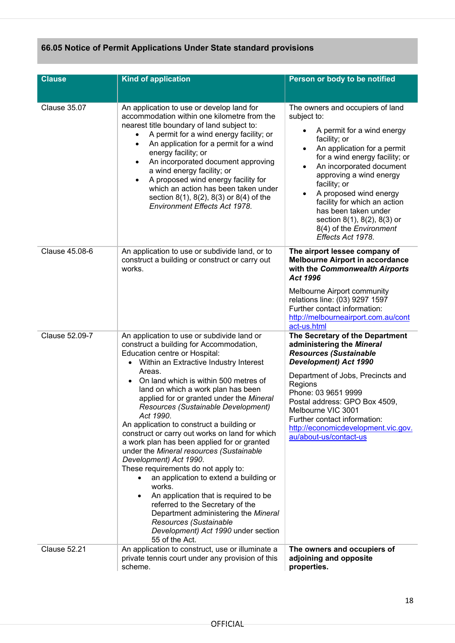# **66.05 Notice of Permit Applications Under State standard provisions**

| <b>Clause</b>       | <b>Kind of application</b>                                                                                                                                                                                                                                                                                                                                                                                                                                                                                                                                                                                                                                                                                                                                                                                                                                                            | Person or body to be notified                                                                                                                                                                                                                                                                                                                                                                                                                                     |
|---------------------|---------------------------------------------------------------------------------------------------------------------------------------------------------------------------------------------------------------------------------------------------------------------------------------------------------------------------------------------------------------------------------------------------------------------------------------------------------------------------------------------------------------------------------------------------------------------------------------------------------------------------------------------------------------------------------------------------------------------------------------------------------------------------------------------------------------------------------------------------------------------------------------|-------------------------------------------------------------------------------------------------------------------------------------------------------------------------------------------------------------------------------------------------------------------------------------------------------------------------------------------------------------------------------------------------------------------------------------------------------------------|
|                     |                                                                                                                                                                                                                                                                                                                                                                                                                                                                                                                                                                                                                                                                                                                                                                                                                                                                                       |                                                                                                                                                                                                                                                                                                                                                                                                                                                                   |
| <b>Clause 35.07</b> | An application to use or develop land for<br>accommodation within one kilometre from the<br>nearest title boundary of land subject to:<br>A permit for a wind energy facility; or<br>٠<br>An application for a permit for a wind<br>$\bullet$<br>energy facility; or<br>An incorporated document approving<br>$\bullet$<br>a wind energy facility; or<br>A proposed wind energy facility for<br>$\bullet$<br>which an action has been taken under<br>section $8(1)$ , $8(2)$ , $8(3)$ or $8(4)$ of the<br><b>Environment Effects Act 1978.</b>                                                                                                                                                                                                                                                                                                                                        | The owners and occupiers of land<br>subject to:<br>A permit for a wind energy<br>$\bullet$<br>facility; or<br>An application for a permit<br>$\bullet$<br>for a wind energy facility; or<br>An incorporated document<br>$\bullet$<br>approving a wind energy<br>facility; or<br>A proposed wind energy<br>$\bullet$<br>facility for which an action<br>has been taken under<br>section 8(1), 8(2), 8(3) or<br>8(4) of the <i>Environment</i><br>Effects Act 1978. |
| Clause 45.08-6      | An application to use or subdivide land, or to<br>construct a building or construct or carry out<br>works.                                                                                                                                                                                                                                                                                                                                                                                                                                                                                                                                                                                                                                                                                                                                                                            | The airport lessee company of<br><b>Melbourne Airport in accordance</b><br>with the Commonwealth Airports<br>Act 1996                                                                                                                                                                                                                                                                                                                                             |
|                     |                                                                                                                                                                                                                                                                                                                                                                                                                                                                                                                                                                                                                                                                                                                                                                                                                                                                                       | Melbourne Airport community<br>relations line: (03) 9297 1597<br>Further contact information:<br>http://melbourneairport.com.au/cont<br>act-us.html                                                                                                                                                                                                                                                                                                               |
| Clause 52.09-7      | An application to use or subdivide land or<br>construct a building for Accommodation,<br>Education centre or Hospital:<br>Within an Extractive Industry Interest<br>Areas.<br>On land which is within 500 metres of<br>land on which a work plan has been<br>applied for or granted under the Mineral<br>Resources (Sustainable Development)<br>Act 1990.<br>An application to construct a building or<br>construct or carry out works on land for which<br>a work plan has been applied for or granted<br>under the Mineral resources (Sustainable<br>Development) Act 1990.<br>These requirements do not apply to:<br>an application to extend a building or<br>works.<br>An application that is required to be<br>٠<br>referred to the Secretary of the<br>Department administering the Mineral<br>Resources (Sustainable<br>Development) Act 1990 under section<br>55 of the Act. | The Secretary of the Department<br>administering the Mineral<br><b>Resources (Sustainable</b><br><b>Development) Act 1990</b><br>Department of Jobs, Precincts and<br>Regions<br>Phone: 03 9651 9999<br>Postal address: GPO Box 4509,<br>Melbourne VIC 3001<br>Further contact information:<br>http://economicdevelopment.vic.gov.<br>au/about-us/contact-us                                                                                                      |
| <b>Clause 52.21</b> | An application to construct, use or illuminate a<br>private tennis court under any provision of this<br>scheme.                                                                                                                                                                                                                                                                                                                                                                                                                                                                                                                                                                                                                                                                                                                                                                       | The owners and occupiers of<br>adjoining and opposite<br>properties.                                                                                                                                                                                                                                                                                                                                                                                              |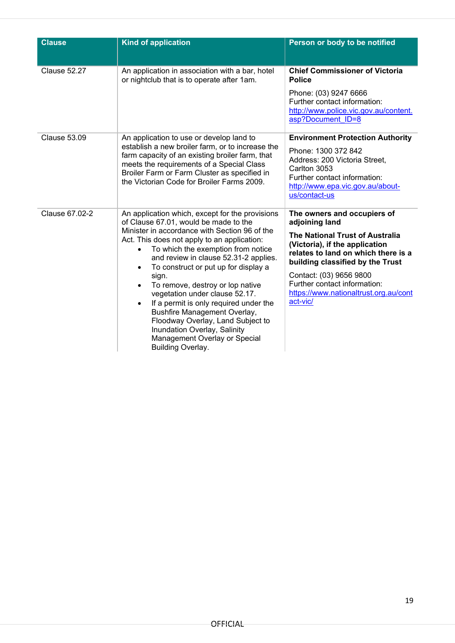| <b>Clause</b>       | <b>Kind of application</b>                                                                                                                                                                                                                                                                                                                                                                                                                                                                                                                                                                                                    | Person or body to be notified                                                                                                                                                                                                                                                                                        |
|---------------------|-------------------------------------------------------------------------------------------------------------------------------------------------------------------------------------------------------------------------------------------------------------------------------------------------------------------------------------------------------------------------------------------------------------------------------------------------------------------------------------------------------------------------------------------------------------------------------------------------------------------------------|----------------------------------------------------------------------------------------------------------------------------------------------------------------------------------------------------------------------------------------------------------------------------------------------------------------------|
| Clause 52.27        | An application in association with a bar, hotel<br>or nightclub that is to operate after 1am.                                                                                                                                                                                                                                                                                                                                                                                                                                                                                                                                 | <b>Chief Commissioner of Victoria</b><br><b>Police</b><br>Phone: (03) 9247 6666<br>Further contact information:<br>http://www.police.vic.gov.au/content.<br>asp?Document ID=8                                                                                                                                        |
| <b>Clause 53.09</b> | An application to use or develop land to<br>establish a new broiler farm, or to increase the<br>farm capacity of an existing broiler farm, that<br>meets the requirements of a Special Class<br>Broiler Farm or Farm Cluster as specified in<br>the Victorian Code for Broiler Farms 2009.                                                                                                                                                                                                                                                                                                                                    | <b>Environment Protection Authority</b><br>Phone: 1300 372 842<br>Address: 200 Victoria Street,<br>Carlton 3053<br>Further contact information:<br>http://www.epa.vic.gov.au/about-<br>us/contact-us                                                                                                                 |
| Clause 67.02-2      | An application which, except for the provisions<br>of Clause 67.01, would be made to the<br>Minister in accordance with Section 96 of the<br>Act. This does not apply to an application:<br>To which the exemption from notice<br>$\bullet$<br>and review in clause 52.31-2 applies.<br>To construct or put up for display a<br>sign.<br>To remove, destroy or lop native<br>vegetation under clause 52.17.<br>If a permit is only required under the<br>$\bullet$<br>Bushfire Management Overlay,<br>Floodway Overlay, Land Subject to<br>Inundation Overlay, Salinity<br>Management Overlay or Special<br>Building Overlay. | The owners and occupiers of<br>adjoining land<br><b>The National Trust of Australia</b><br>(Victoria), if the application<br>relates to land on which there is a<br>building classified by the Trust<br>Contact: (03) 9656 9800<br>Further contact information:<br>https://www.nationaltrust.org.au/cont<br>act-vic/ |